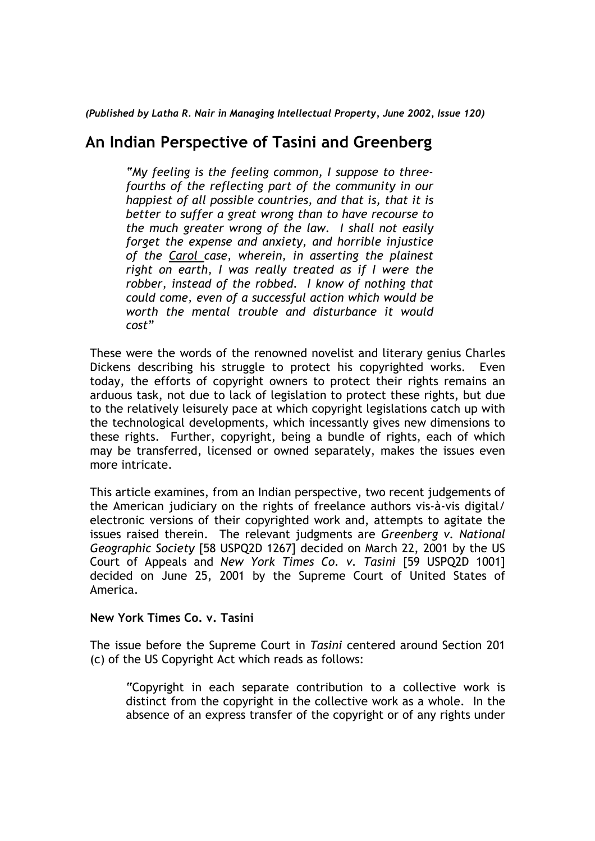*(Published by Latha R. Nair in Managing Intellectual Property, June 2002, Issue 120)* 

# **An Indian Perspective of Tasini and Greenberg**

*"My feeling is the feeling common, I suppose to threefourths of the reflecting part of the community in our happiest of all possible countries, and that is, that it is better to suffer a great wrong than to have recourse to the much greater wrong of the law. I shall not easily forget the expense and anxiety, and horrible injustice of the Carol case, wherein, in asserting the plainest right on earth, I was really treated as if I were the robber, instead of the robbed. I know of nothing that could come, even of a successful action which would be worth the mental trouble and disturbance it would cost"* 

These were the words of the renowned novelist and literary genius Charles Dickens describing his struggle to protect his copyrighted works. Even today, the efforts of copyright owners to protect their rights remains an arduous task, not due to lack of legislation to protect these rights, but due to the relatively leisurely pace at which copyright legislations catch up with the technological developments, which incessantly gives new dimensions to these rights. Further, copyright, being a bundle of rights, each of which may be transferred, licensed or owned separately, makes the issues even more intricate.

This article examines, from an Indian perspective, two recent judgements of the American judiciary on the rights of freelance authors vis-à-vis digital/ electronic versions of their copyrighted work and, attempts to agitate the issues raised therein. The relevant judgments are *Greenberg v. National Geographic Society* [58 USPQ2D 1267] decided on March 22, 2001 by the US Court of Appeals and *New York Times Co. v. Tasini* [59 USPQ2D 1001] decided on June 25, 2001 by the Supreme Court of United States of America.

## **New York Times Co. v. Tasini**

The issue before the Supreme Court in *Tasini* centered around Section 201 (c) of the US Copyright Act which reads as follows:

"Copyright in each separate contribution to a collective work is distinct from the copyright in the collective work as a whole. In the absence of an express transfer of the copyright or of any rights under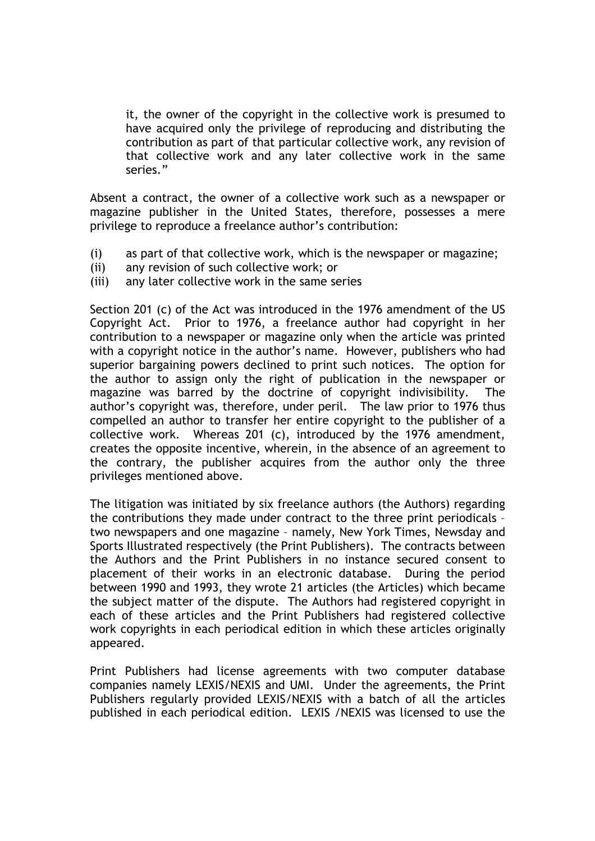it, the owner of the copyright in the collective work is presumed to have acquired only the privilege of reproducing and distributing the contribution as part of that particular collective work, any revision of that collective work and any later collective work in the same series."

Absent a contract, the owner of a collective work such as a newspaper or magazine publisher in the United States, therefore, possesses a mere privilege to reproduce a freelance author's contribution:

- (i) as part of that collective work, which is the newspaper or magazine;
- (ii) any revision of such collective work; or
- (iii) any later collective work in the same series

Section 201 (c) of the Act was introduced in the 1976 amendment of the US Copyright Act. Prior to 1976, a freelance author had copyright in her contribution to a newspaper or magazine only when the article was printed with a copyright notice in the author's name. However, publishers who had superior bargaining powers declined to print such notices. The option for the author to assign only the right of publication in the newspaper or magazine was barred by the doctrine of copyright indivisibility. The author's copyright was, therefore, under peril. The law prior to 1976 thus compelled an author to transfer her entire copyright to the publisher of a collective work. Whereas 201 (c), introduced by the 1976 amendment, creates the opposite incentive, wherein, in the absence of an agreement to the contrary, the publisher acquires from the author only the three privileges mentioned above.

The litigation was initiated by six freelance authors (the Authors) regarding the contributions they made under contract to the three print periodicals – two newspapers and one magazine – namely, New York Times, Newsday and Sports Illustrated respectively (the Print Publishers). The contracts between the Authors and the Print Publishers in no instance secured consent to placement of their works in an electronic database. During the period between 1990 and 1993, they wrote 21 articles (the Articles) which became the subject matter of the dispute. The Authors had registered copyright in each of these articles and the Print Publishers had registered collective work copyrights in each periodical edition in which these articles originally appeared.

Print Publishers had license agreements with two computer database companies namely LEXIS/NEXIS and UMI. Under the agreements, the Print Publishers regularly provided LEXIS/NEXIS with a batch of all the articles published in each periodical edition. LEXIS /NEXIS was licensed to use the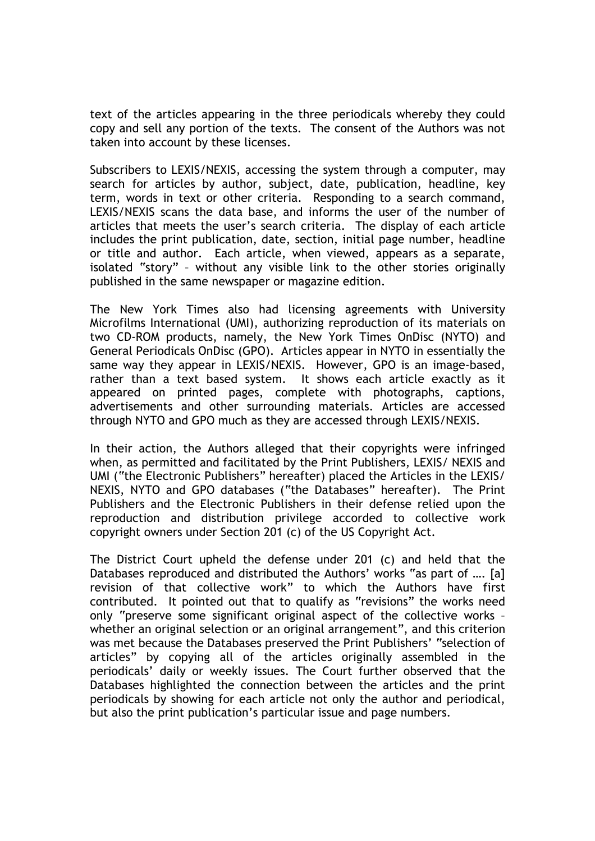text of the articles appearing in the three periodicals whereby they could copy and sell any portion of the texts. The consent of the Authors was not taken into account by these licenses.

Subscribers to LEXIS/NEXIS, accessing the system through a computer, may search for articles by author, subject, date, publication, headline, key term, words in text or other criteria. Responding to a search command, LEXIS/NEXIS scans the data base, and informs the user of the number of articles that meets the user's search criteria. The display of each article includes the print publication, date, section, initial page number, headline or title and author. Each article, when viewed, appears as a separate, isolated "story" – without any visible link to the other stories originally published in the same newspaper or magazine edition.

The New York Times also had licensing agreements with University Microfilms International (UMI), authorizing reproduction of its materials on two CD-ROM products, namely, the New York Times OnDisc (NYTO) and General Periodicals OnDisc (GPO). Articles appear in NYTO in essentially the same way they appear in LEXIS/NEXIS. However, GPO is an image-based, rather than a text based system. It shows each article exactly as it appeared on printed pages, complete with photographs, captions, advertisements and other surrounding materials. Articles are accessed through NYTO and GPO much as they are accessed through LEXIS/NEXIS.

In their action, the Authors alleged that their copyrights were infringed when, as permitted and facilitated by the Print Publishers, LEXIS/ NEXIS and UMI ("the Electronic Publishers" hereafter) placed the Articles in the LEXIS/ NEXIS, NYTO and GPO databases ("the Databases" hereafter). The Print Publishers and the Electronic Publishers in their defense relied upon the reproduction and distribution privilege accorded to collective work copyright owners under Section 201 (c) of the US Copyright Act.

The District Court upheld the defense under 201 (c) and held that the Databases reproduced and distributed the Authors' works "as part of …. [a] revision of that collective work" to which the Authors have first contributed. It pointed out that to qualify as "revisions" the works need only "preserve some significant original aspect of the collective works – whether an original selection or an original arrangement", and this criterion was met because the Databases preserved the Print Publishers' "selection of articles" by copying all of the articles originally assembled in the periodicals' daily or weekly issues. The Court further observed that the Databases highlighted the connection between the articles and the print periodicals by showing for each article not only the author and periodical, but also the print publication's particular issue and page numbers.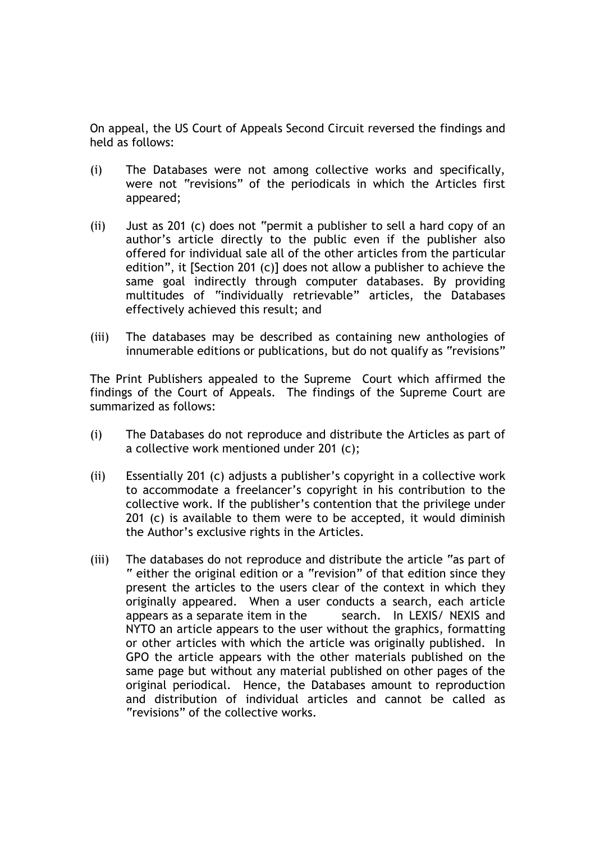On appeal, the US Court of Appeals Second Circuit reversed the findings and held as follows:

- (i) The Databases were not among collective works and specifically, were not "revisions" of the periodicals in which the Articles first appeared;
- (ii) Just as 201 (c) does not "permit a publisher to sell a hard copy of an author's article directly to the public even if the publisher also offered for individual sale all of the other articles from the particular edition", it [Section 201 (c)] does not allow a publisher to achieve the same goal indirectly through computer databases. By providing multitudes of "individually retrievable" articles, the Databases effectively achieved this result; and
- (iii) The databases may be described as containing new anthologies of innumerable editions or publications, but do not qualify as "revisions"

The Print Publishers appealed to the Supreme Court which affirmed the findings of the Court of Appeals. The findings of the Supreme Court are summarized as follows:

- (i) The Databases do not reproduce and distribute the Articles as part of a collective work mentioned under 201 (c);
- (ii) Essentially 201 (c) adjusts a publisher's copyright in a collective work to accommodate a freelancer's copyright in his contribution to the collective work. If the publisher's contention that the privilege under 201 (c) is available to them were to be accepted, it would diminish the Author's exclusive rights in the Articles.
- (iii) The databases do not reproduce and distribute the article "as part of " either the original edition or a "revision" of that edition since they present the articles to the users clear of the context in which they originally appeared. When a user conducts a search, each article appears as a separate item in the search. In LEXIS/ NEXIS and NYTO an article appears to the user without the graphics, formatting or other articles with which the article was originally published. In GPO the article appears with the other materials published on the same page but without any material published on other pages of the original periodical. Hence, the Databases amount to reproduction and distribution of individual articles and cannot be called as "revisions" of the collective works.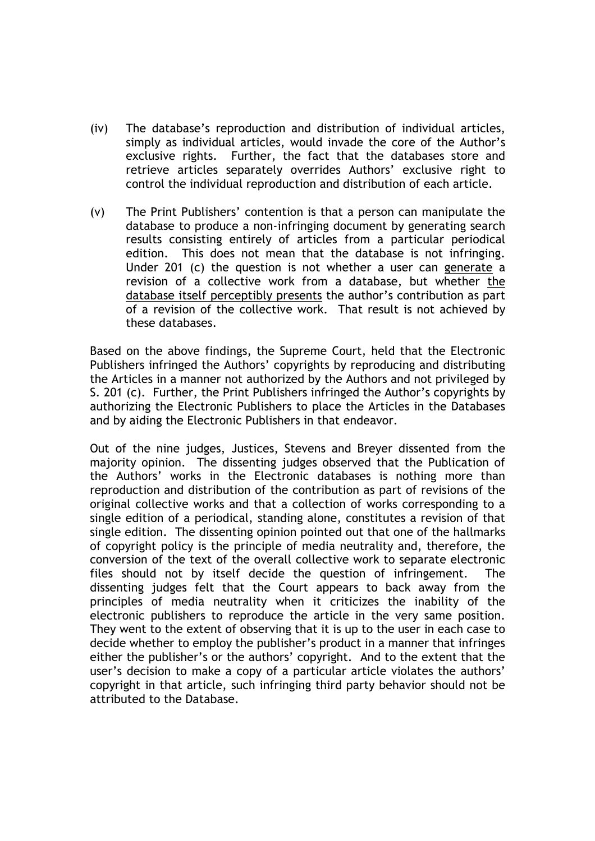- (iv) The database's reproduction and distribution of individual articles, simply as individual articles, would invade the core of the Author's exclusive rights. Further, the fact that the databases store and retrieve articles separately overrides Authors' exclusive right to control the individual reproduction and distribution of each article.
- (v) The Print Publishers' contention is that a person can manipulate the database to produce a non-infringing document by generating search results consisting entirely of articles from a particular periodical edition. This does not mean that the database is not infringing. Under 201 (c) the question is not whether a user can generate a revision of a collective work from a database, but whether the database itself perceptibly presents the author's contribution as part of a revision of the collective work. That result is not achieved by these databases.

Based on the above findings, the Supreme Court, held that the Electronic Publishers infringed the Authors' copyrights by reproducing and distributing the Articles in a manner not authorized by the Authors and not privileged by S. 201 (c). Further, the Print Publishers infringed the Author's copyrights by authorizing the Electronic Publishers to place the Articles in the Databases and by aiding the Electronic Publishers in that endeavor.

Out of the nine judges, Justices, Stevens and Breyer dissented from the majority opinion. The dissenting judges observed that the Publication of the Authors' works in the Electronic databases is nothing more than reproduction and distribution of the contribution as part of revisions of the original collective works and that a collection of works corresponding to a single edition of a periodical, standing alone, constitutes a revision of that single edition. The dissenting opinion pointed out that one of the hallmarks of copyright policy is the principle of media neutrality and, therefore, the conversion of the text of the overall collective work to separate electronic files should not by itself decide the question of infringement. The dissenting judges felt that the Court appears to back away from the principles of media neutrality when it criticizes the inability of the electronic publishers to reproduce the article in the very same position. They went to the extent of observing that it is up to the user in each case to decide whether to employ the publisher's product in a manner that infringes either the publisher's or the authors' copyright. And to the extent that the user's decision to make a copy of a particular article violates the authors' copyright in that article, such infringing third party behavior should not be attributed to the Database.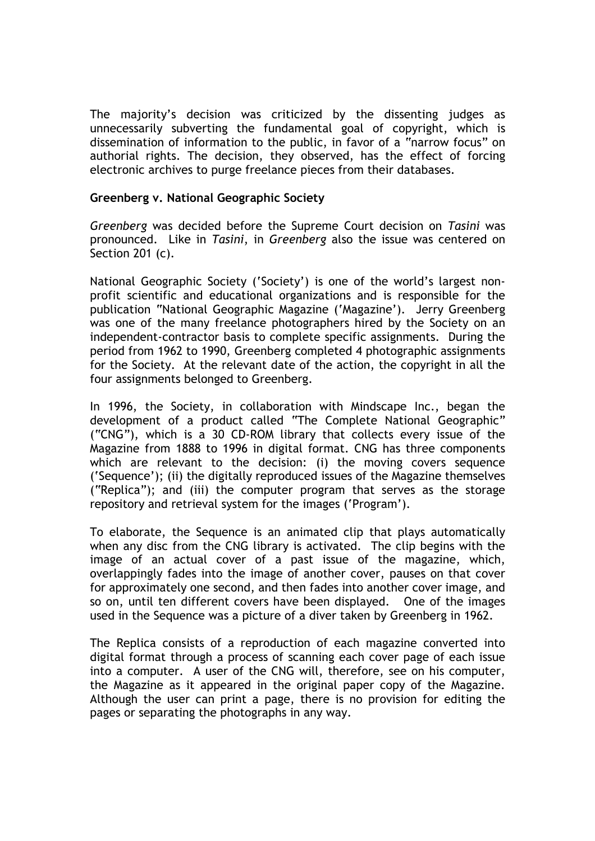The majority's decision was criticized by the dissenting judges as unnecessarily subverting the fundamental goal of copyright, which is dissemination of information to the public, in favor of a "narrow focus" on authorial rights. The decision, they observed, has the effect of forcing electronic archives to purge freelance pieces from their databases.

#### **Greenberg v. National Geographic Society**

*Greenberg* was decided before the Supreme Court decision on *Tasini* was pronounced. Like in *Tasini*, in *Greenberg* also the issue was centered on Section 201 (c).

National Geographic Society ('Society') is one of the world's largest nonprofit scientific and educational organizations and is responsible for the publication "National Geographic Magazine ('Magazine'). Jerry Greenberg was one of the many freelance photographers hired by the Society on an independent-contractor basis to complete specific assignments. During the period from 1962 to 1990, Greenberg completed 4 photographic assignments for the Society. At the relevant date of the action, the copyright in all the four assignments belonged to Greenberg.

In 1996, the Society, in collaboration with Mindscape Inc., began the development of a product called "The Complete National Geographic" ("CNG"), which is a 30 CD-ROM library that collects every issue of the Magazine from 1888 to 1996 in digital format. CNG has three components which are relevant to the decision: (i) the moving covers sequence ('Sequence'); (ii) the digitally reproduced issues of the Magazine themselves ("Replica"); and (iii) the computer program that serves as the storage repository and retrieval system for the images ('Program').

To elaborate, the Sequence is an animated clip that plays automatically when any disc from the CNG library is activated. The clip begins with the image of an actual cover of a past issue of the magazine, which, overlappingly fades into the image of another cover, pauses on that cover for approximately one second, and then fades into another cover image, and so on, until ten different covers have been displayed. One of the images used in the Sequence was a picture of a diver taken by Greenberg in 1962.

The Replica consists of a reproduction of each magazine converted into digital format through a process of scanning each cover page of each issue into a computer. A user of the CNG will, therefore, see on his computer, the Magazine as it appeared in the original paper copy of the Magazine. Although the user can print a page, there is no provision for editing the pages or separating the photographs in any way.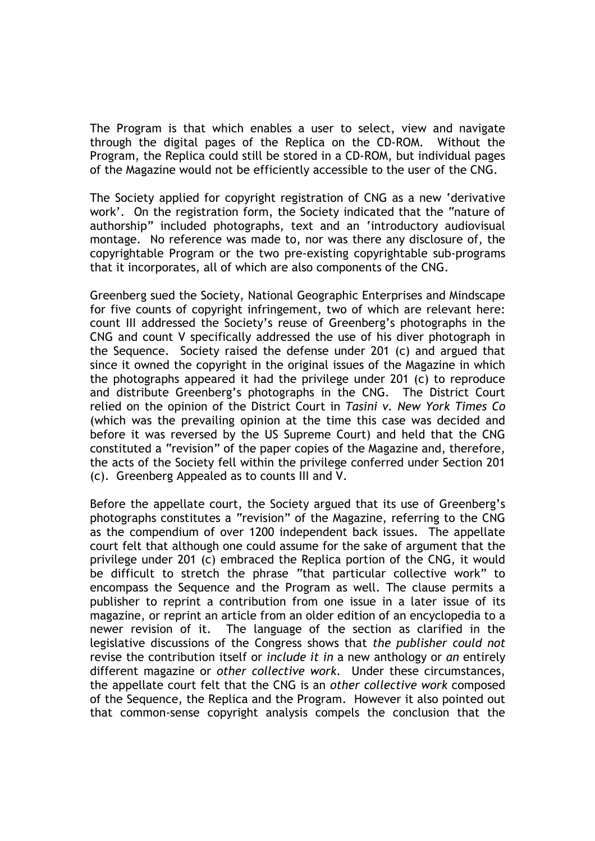The Program is that which enables a user to select, view and navigate through the digital pages of the Replica on the CD-ROM. Without the Program, the Replica could still be stored in a CD-ROM, but individual pages of the Magazine would not be efficiently accessible to the user of the CNG.

The Society applied for copyright registration of CNG as a new 'derivative work'. On the registration form, the Society indicated that the "nature of authorship" included photographs, text and an 'introductory audiovisual montage. No reference was made to, nor was there any disclosure of, the copyrightable Program or the two pre-existing copyrightable sub-programs that it incorporates, all of which are also components of the CNG.

Greenberg sued the Society, National Geographic Enterprises and Mindscape for five counts of copyright infringement, two of which are relevant here: count III addressed the Society's reuse of Greenberg's photographs in the CNG and count V specifically addressed the use of his diver photograph in the Sequence. Society raised the defense under 201 (c) and argued that since it owned the copyright in the original issues of the Magazine in which the photographs appeared it had the privilege under 201 (c) to reproduce and distribute Greenberg's photographs in the CNG. The District Court relied on the opinion of the District Court in *Tasini v. New York Times Co*  (which was the prevailing opinion at the time this case was decided and before it was reversed by the US Supreme Court) and held that the CNG constituted a "revision" of the paper copies of the Magazine and, therefore, the acts of the Society fell within the privilege conferred under Section 201 (c). Greenberg Appealed as to counts III and V.

Before the appellate court, the Society argued that its use of Greenberg's photographs constitutes a "revision" of the Magazine, referring to the CNG as the compendium of over 1200 independent back issues. The appellate court felt that although one could assume for the sake of argument that the privilege under 201 (c) embraced the Replica portion of the CNG, it would be difficult to stretch the phrase "that particular collective work" to encompass the Sequence and the Program as well. The clause permits a publisher to reprint a contribution from one issue in a later issue of its magazine, or reprint an article from an older edition of an encyclopedia to a newer revision of it. The language of the section as clarified in the legislative discussions of the Congress shows that *the publisher could not*  revise the contribution itself or *include it in* a new anthology or *an* entirely different magazine or *other collective work*. Under these circumstances, the appellate court felt that the CNG is an *other collective work* composed of the Sequence, the Replica and the Program. However it also pointed out that common-sense copyright analysis compels the conclusion that the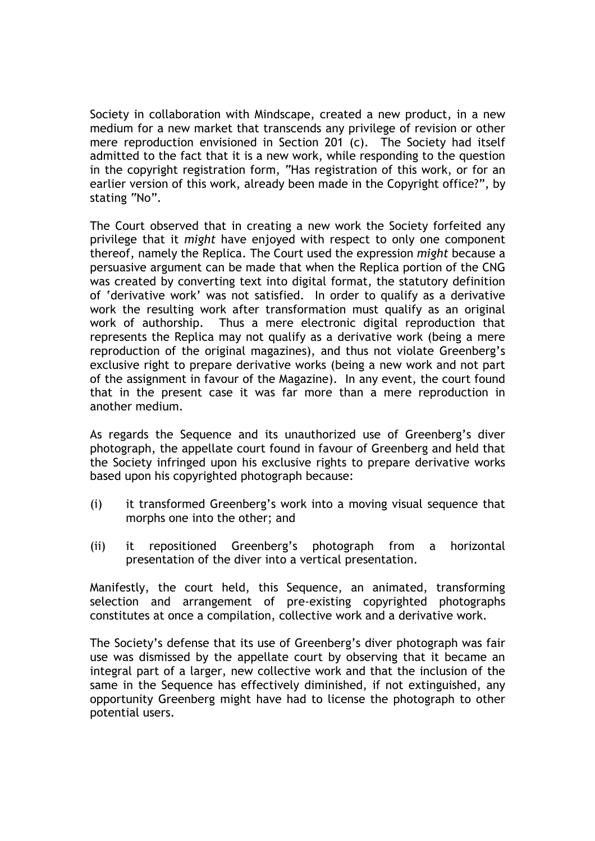Society in collaboration with Mindscape, created a new product, in a new medium for a new market that transcends any privilege of revision or other mere reproduction envisioned in Section 201 (c). The Society had itself admitted to the fact that it is a new work, while responding to the question in the copyright registration form, "Has registration of this work, or for an earlier version of this work, already been made in the Copyright office?", by stating "No".

The Court observed that in creating a new work the Society forfeited any privilege that it *might* have enjoyed with respect to only one component thereof, namely the Replica. The Court used the expression *might* because a persuasive argument can be made that when the Replica portion of the CNG was created by converting text into digital format, the statutory definition of 'derivative work' was not satisfied. In order to qualify as a derivative work the resulting work after transformation must qualify as an original work of authorship. Thus a mere electronic digital reproduction that represents the Replica may not qualify as a derivative work (being a mere reproduction of the original magazines), and thus not violate Greenberg's exclusive right to prepare derivative works (being a new work and not part of the assignment in favour of the Magazine). In any event, the court found that in the present case it was far more than a mere reproduction in another medium.

As regards the Sequence and its unauthorized use of Greenberg's diver photograph, the appellate court found in favour of Greenberg and held that the Society infringed upon his exclusive rights to prepare derivative works based upon his copyrighted photograph because:

- (i) it transformed Greenberg's work into a moving visual sequence that morphs one into the other; and
- (ii) it repositioned Greenberg's photograph from a horizontal presentation of the diver into a vertical presentation.

Manifestly, the court held, this Sequence, an animated, transforming selection and arrangement of pre-existing copyrighted photographs constitutes at once a compilation, collective work and a derivative work.

The Society's defense that its use of Greenberg's diver photograph was fair use was dismissed by the appellate court by observing that it became an integral part of a larger, new collective work and that the inclusion of the same in the Sequence has effectively diminished, if not extinguished, any opportunity Greenberg might have had to license the photograph to other potential users.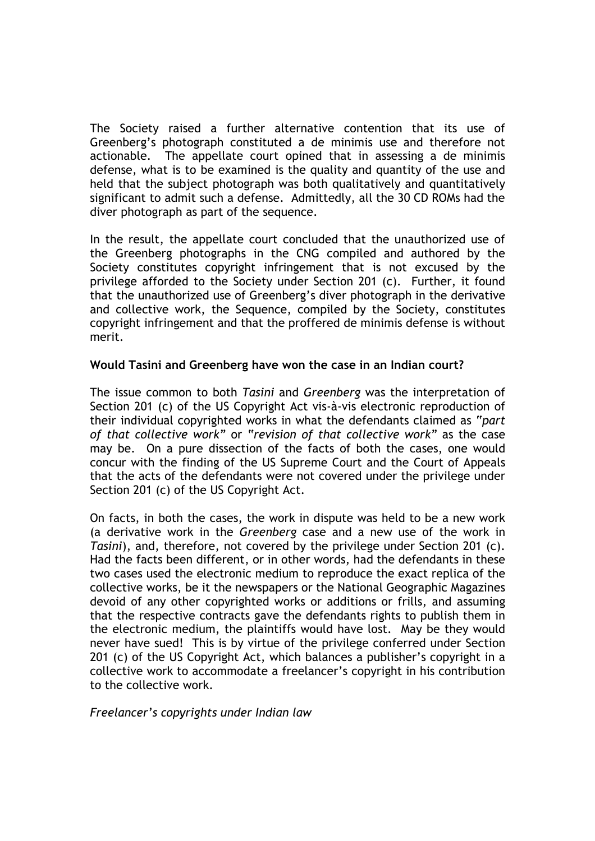The Society raised a further alternative contention that its use of Greenberg's photograph constituted a de minimis use and therefore not actionable. The appellate court opined that in assessing a de minimis defense, what is to be examined is the quality and quantity of the use and held that the subject photograph was both qualitatively and quantitatively significant to admit such a defense. Admittedly, all the 30 CD ROMs had the diver photograph as part of the sequence.

In the result, the appellate court concluded that the unauthorized use of the Greenberg photographs in the CNG compiled and authored by the Society constitutes copyright infringement that is not excused by the privilege afforded to the Society under Section 201 (c). Further, it found that the unauthorized use of Greenberg's diver photograph in the derivative and collective work, the Sequence, compiled by the Society, constitutes copyright infringement and that the proffered de minimis defense is without merit.

## **Would Tasini and Greenberg have won the case in an Indian court?**

The issue common to both *Tasini* and *Greenberg* was the interpretation of Section 201 (c) of the US Copyright Act vis-à-vis electronic reproduction of their individual copyrighted works in what the defendants claimed as "*part of that collective work"* or "*revision of that collective work"* as the case may be. On a pure dissection of the facts of both the cases, one would concur with the finding of the US Supreme Court and the Court of Appeals that the acts of the defendants were not covered under the privilege under Section 201 (c) of the US Copyright Act.

On facts, in both the cases, the work in dispute was held to be a new work (a derivative work in the *Greenberg* case and a new use of the work in *Tasini*), and, therefore, not covered by the privilege under Section 201 (c). Had the facts been different, or in other words, had the defendants in these two cases used the electronic medium to reproduce the exact replica of the collective works, be it the newspapers or the National Geographic Magazines devoid of any other copyrighted works or additions or frills, and assuming that the respective contracts gave the defendants rights to publish them in the electronic medium, the plaintiffs would have lost. May be they would never have sued! This is by virtue of the privilege conferred under Section 201 (c) of the US Copyright Act, which balances a publisher's copyright in a collective work to accommodate a freelancer's copyright in his contribution to the collective work.

*Freelancer's copyrights under Indian law*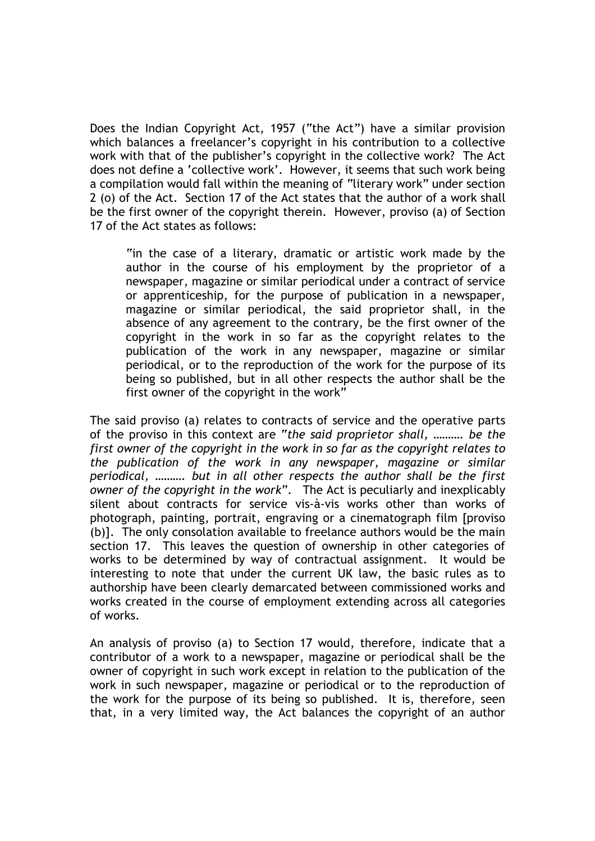Does the Indian Copyright Act, 1957 ("the Act") have a similar provision which balances a freelancer's copyright in his contribution to a collective work with that of the publisher's copyright in the collective work? The Act does not define a 'collective work'. However, it seems that such work being a compilation would fall within the meaning of "literary work" under section 2 (o) of the Act. Section 17 of the Act states that the author of a work shall be the first owner of the copyright therein. However, proviso (a) of Section 17 of the Act states as follows:

 "in the case of a literary, dramatic or artistic work made by the author in the course of his employment by the proprietor of a newspaper, magazine or similar periodical under a contract of service or apprenticeship, for the purpose of publication in a newspaper, magazine or similar periodical, the said proprietor shall, in the absence of any agreement to the contrary, be the first owner of the copyright in the work in so far as the copyright relates to the publication of the work in any newspaper, magazine or similar periodical, or to the reproduction of the work for the purpose of its being so published, but in all other respects the author shall be the first owner of the copyright in the work"

The said proviso (a) relates to contracts of service and the operative parts of the proviso in this context are "*the said proprietor shall, ………. be the first owner of the copyright in the work in so far as the copyright relates to the publication of the work in any newspaper, magazine or similar periodical, ………. but in all other respects the author shall be the first owner of the copyright in the work*". The Act is peculiarly and inexplicably silent about contracts for service vis-à-vis works other than works of photograph, painting, portrait, engraving or a cinematograph film [proviso (b)]. The only consolation available to freelance authors would be the main section 17. This leaves the question of ownership in other categories of works to be determined by way of contractual assignment. It would be interesting to note that under the current UK law, the basic rules as to authorship have been clearly demarcated between commissioned works and works created in the course of employment extending across all categories of works.

An analysis of proviso (a) to Section 17 would, therefore, indicate that a contributor of a work to a newspaper, magazine or periodical shall be the owner of copyright in such work except in relation to the publication of the work in such newspaper, magazine or periodical or to the reproduction of the work for the purpose of its being so published. It is, therefore, seen that, in a very limited way, the Act balances the copyright of an author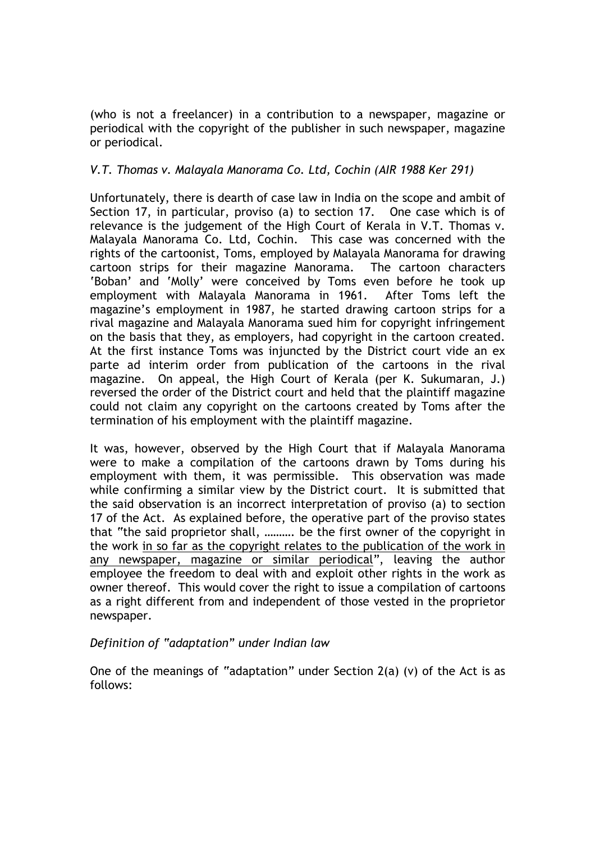(who is not a freelancer) in a contribution to a newspaper, magazine or periodical with the copyright of the publisher in such newspaper, magazine or periodical.

# *V.T. Thomas v. Malayala Manorama Co. Ltd, Cochin (AIR 1988 Ker 291)*

Unfortunately, there is dearth of case law in India on the scope and ambit of Section 17, in particular, proviso (a) to section 17. One case which is of relevance is the judgement of the High Court of Kerala in V.T. Thomas v. Malayala Manorama Co. Ltd, Cochin. This case was concerned with the rights of the cartoonist, Toms, employed by Malayala Manorama for drawing cartoon strips for their magazine Manorama. The cartoon characters 'Boban' and 'Molly' were conceived by Toms even before he took up employment with Malayala Manorama in 1961. After Toms left the magazine's employment in 1987, he started drawing cartoon strips for a rival magazine and Malayala Manorama sued him for copyright infringement on the basis that they, as employers, had copyright in the cartoon created. At the first instance Toms was injuncted by the District court vide an ex parte ad interim order from publication of the cartoons in the rival magazine. On appeal, the High Court of Kerala (per K. Sukumaran, J.) reversed the order of the District court and held that the plaintiff magazine could not claim any copyright on the cartoons created by Toms after the termination of his employment with the plaintiff magazine.

It was, however, observed by the High Court that if Malayala Manorama were to make a compilation of the cartoons drawn by Toms during his employment with them, it was permissible. This observation was made while confirming a similar view by the District court. It is submitted that the said observation is an incorrect interpretation of proviso (a) to section 17 of the Act. As explained before, the operative part of the proviso states that "the said proprietor shall, ………. be the first owner of the copyright in the work in so far as the copyright relates to the publication of the work in any newspaper, magazine or similar periodical", leaving the author employee the freedom to deal with and exploit other rights in the work as owner thereof. This would cover the right to issue a compilation of cartoons as a right different from and independent of those vested in the proprietor newspaper.

## *Definition of "adaptation" under Indian law*

One of the meanings of "adaptation" under Section 2(a) (v) of the Act is as follows: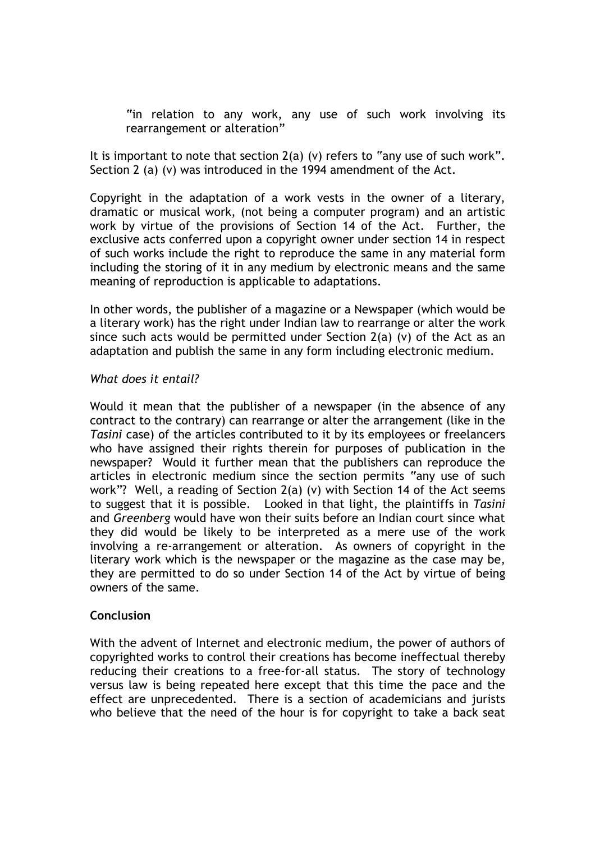"in relation to any work, any use of such work involving its rearrangement or alteration"

It is important to note that section 2(a) (v) refers to "any use of such work". Section 2 (a) (v) was introduced in the 1994 amendment of the Act.

Copyright in the adaptation of a work vests in the owner of a literary, dramatic or musical work, (not being a computer program) and an artistic work by virtue of the provisions of Section 14 of the Act. Further, the exclusive acts conferred upon a copyright owner under section 14 in respect of such works include the right to reproduce the same in any material form including the storing of it in any medium by electronic means and the same meaning of reproduction is applicable to adaptations.

In other words, the publisher of a magazine or a Newspaper (which would be a literary work) has the right under Indian law to rearrange or alter the work since such acts would be permitted under Section 2(a) (v) of the Act as an adaptation and publish the same in any form including electronic medium.

### *What does it entail?*

Would it mean that the publisher of a newspaper (in the absence of any contract to the contrary) can rearrange or alter the arrangement (like in the *Tasini* case) of the articles contributed to it by its employees or freelancers who have assigned their rights therein for purposes of publication in the newspaper? Would it further mean that the publishers can reproduce the articles in electronic medium since the section permits "any use of such work"? Well, a reading of Section 2(a) (v) with Section 14 of the Act seems to suggest that it is possible. Looked in that light, the plaintiffs in *Tasini* and *Greenberg* would have won their suits before an Indian court since what they did would be likely to be interpreted as a mere use of the work involving a re-arrangement or alteration. As owners of copyright in the literary work which is the newspaper or the magazine as the case may be, they are permitted to do so under Section 14 of the Act by virtue of being owners of the same.

## **Conclusion**

With the advent of Internet and electronic medium, the power of authors of copyrighted works to control their creations has become ineffectual thereby reducing their creations to a free-for-all status. The story of technology versus law is being repeated here except that this time the pace and the effect are unprecedented. There is a section of academicians and jurists who believe that the need of the hour is for copyright to take a back seat